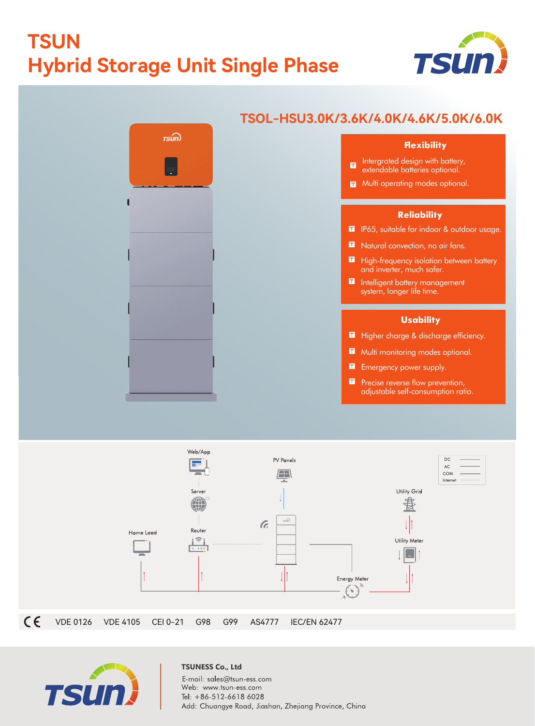# **TSUN Hybrid Storage Unit Single Phase**





### **TSOL-HSU3.0K/3.6K/4.0K/4.6K/5.0K/6.0K**

#### **Flexibility**

- Intergrated design with battery,  $\blacksquare$ extendable batteries optional.
- **T** Multi operating modes optional.

#### **Reliability**

- **II** IP65, suitable for indoor & outdoor usage.
- Natural convection, no air fans.
- **High-frequency isolation between battery** and inverter, much safer.
- Intelligent battery management system, longer life time.

#### **Usability**

- Higher charge & discharge efficiency.
- **Multi monitoring modes optional.**
- **Emergency power supply.**
- **P** Precise reverse flow prevention, adjustable self-consumption ratio.





#### **TSUNESS Co., Ltd** E-mail: sales@tsun-ess.com Web: www.tsun-ess.com Tel: +86-512-6618 6028 Add: Chuangye Road, Jiashan, Zhejiang Province, China